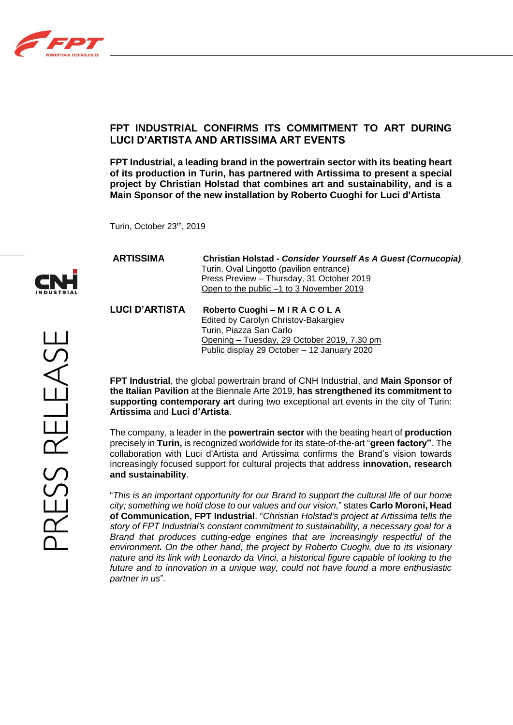

# **FPT INDUSTRIAL CONFIRMS ITS COMMITMENT TO ART DURING LUCI D'ARTISTA AND ARTISSIMA ART EVENTS**

**FPT Industrial, a leading brand in the powertrain sector with its beating heart of its production in Turin, has partnered with Artissima to present a special project by Christian Holstad that combines art and sustainability, and is a Main Sponsor of the new installation by Roberto Cuoghi for Luci d'Artista**

Turin, October 23th, 2019

| <b>ARTISSIMA</b> | Christian Holstad - Consider Yourself As A Guest (Cornucopia) |
|------------------|---------------------------------------------------------------|
|                  | Turin, Oval Lingotto (pavilion entrance)                      |
|                  | Press Preview - Thursday, 31 October 2019                     |
|                  | Open to the public -1 to 3 November 2019                      |
|                  |                                                               |

**LUCI D'ARTISTA Roberto Cuoghi – M I R A C O L A** Edited by Carolyn Christov-Bakargiev Turin, Piazza San Carlo Opening – Tuesday, 29 October 2019, 7.30 pm Public display 29 October – 12 January 2020

**FPT Industrial**, the global powertrain brand of CNH Industrial, and **Main Sponsor of the Italian Pavilion** at the Biennale Arte 2019, **has strengthened its commitment to supporting contemporary art** during two exceptional art events in the city of Turin: **Artissima** and **Luci d'Artista**.

The company, a leader in the **powertrain sector** with the beating heart of **production**  precisely in **Turin,** is recognized worldwide for its state-of-the-art "**green factory"**. The collaboration with Luci d'Artista and Artissima confirms the Brand's vision towards increasingly focused support for cultural projects that address **innovation, research and sustainability**.

"*This is an important opportunity for our Brand to support the cultural life of our home city; something we hold close to our values and our vision,*" states **Carlo Moroni, Head of Communication, FPT Industrial**. "*Christian Holstad's project at Artissima tells the story of FPT Industrial's constant commitment to sustainability, a necessary goal for a Brand that produces cutting-edge engines that are increasingly respectful of the environment. On the other hand, the project by Roberto Cuoghi, due to its visionary nature and its link with Leonardo da Vinci, a historical figure capable of looking to the future and to innovation in a unique way, could not have found a more enthusiastic partner in us*"*.*

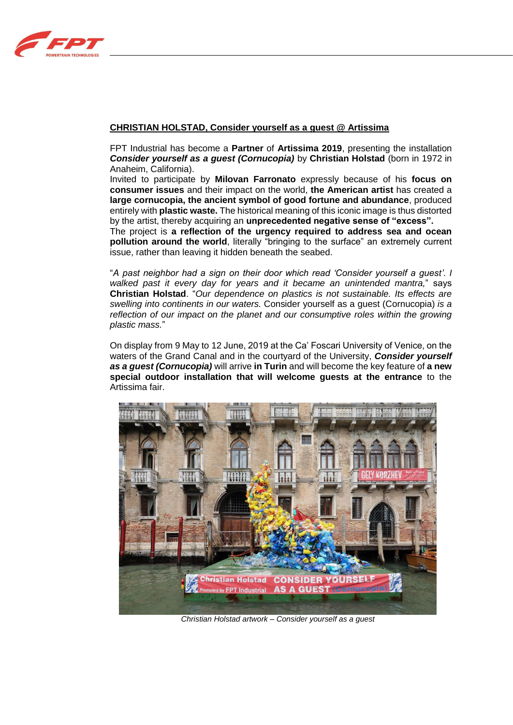

## **CHRISTIAN HOLSTAD, Consider yourself as a guest @ Artissima**

FPT Industrial has become a **Partner** of **Artissima 2019**, presenting the installation *Consider yourself as a guest (Cornucopia)* by **Christian Holstad** (born in 1972 in Anaheim, California).

Invited to participate by **Milovan Farronato** expressly because of his **focus on consumer issues** and their impact on the world, **the American artist** has created a **large cornucopia, the ancient symbol of good fortune and abundance**, produced entirely with **plastic waste.** The historical meaning of this iconic image is thus distorted by the artist, thereby acquiring an **unprecedented negative sense of "excess".**

The project is **a reflection of the urgency required to address sea and ocean pollution around the world**, literally "bringing to the surface" an extremely current issue, rather than leaving it hidden beneath the seabed.

"*A past neighbor had a sign on their door which read 'Consider yourself a guest'*. *I walked past it every day for years and it became an unintended mantra,*" says **Christian Holstad**. "*Our dependence on plastics is not sustainable. Its effects are swelling into continents in our waters.* Consider yourself as a guest (Cornucopia) *is a reflection of our impact on the planet and our consumptive roles within the growing plastic mass.*"

On display from 9 May to 12 June, 2019 at the Ca' Foscari University of Venice, on the waters of the Grand Canal and in the courtyard of the University, *Consider yourself as a guest (Cornucopia)* will arrive **in Turin** and will become the key feature of **a new special outdoor installation that will welcome guests at the entrance** to the Artissima fair.



*Christian Holstad artwork – Consider yourself as a guest*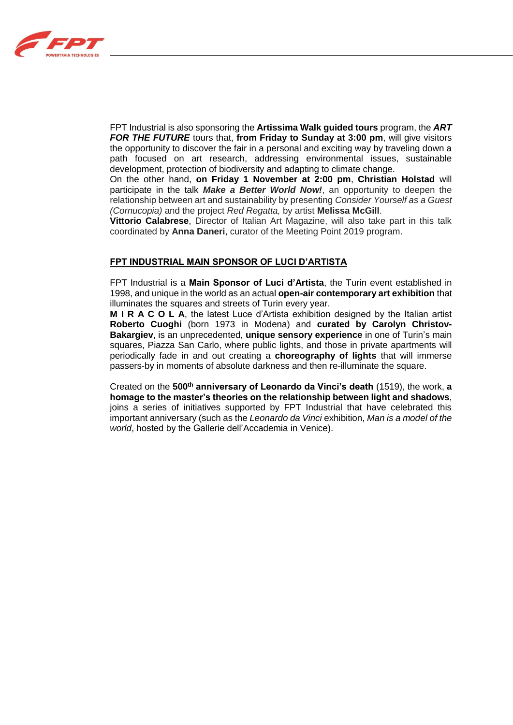

FPT Industrial is also sponsoring the **Artissima Walk guided tours** program, the *ART FOR THE FUTURE* tours that, **from Friday to Sunday at 3:00 pm**, will give visitors the opportunity to discover the fair in a personal and exciting way by traveling down a path focused on art research, addressing environmental issues, sustainable development, protection of biodiversity and adapting to climate change.

On the other hand, **on Friday 1 November at 2:00 pm**, **Christian Holstad** will participate in the talk *Make a Better World Now!*, an opportunity to deepen the relationship between art and sustainability by presenting *Consider Yourself as a Guest (Cornucopia)* and the project *Red Regatta,* by artist **Melissa McGill**.

**Vittorio Calabrese**, Director of Italian Art Magazine, will also take part in this talk coordinated by **Anna Daneri**, curator of the Meeting Point 2019 program.

### **FPT INDUSTRIAL MAIN SPONSOR OF LUCI D'ARTISTA**

FPT Industrial is a **Main Sponsor of Luci d'Artista**, the Turin event established in 1998, and unique in the world as an actual **open-air contemporary art exhibition** that illuminates the squares and streets of Turin every year.

**M I R A C O L A**, the latest Luce d'Artista exhibition designed by the Italian artist **Roberto Cuoghi** (born 1973 in Modena) and **curated by Carolyn Christov-Bakargiev**, is an unprecedented, **unique sensory experience** in one of Turin's main squares, Piazza San Carlo, where public lights, and those in private apartments will periodically fade in and out creating a **choreography of lights** that will immerse passers-by in moments of absolute darkness and then re-illuminate the square.

Created on the **500th anniversary of Leonardo da Vinci's death** (1519), the work, **a homage to the master's theories on the relationship between light and shadows**, joins a series of initiatives supported by FPT Industrial that have celebrated this important anniversary (such as the *Leonardo da Vinci* exhibition, *Man is a model of the world*, hosted by the Gallerie dell'Accademia in Venice).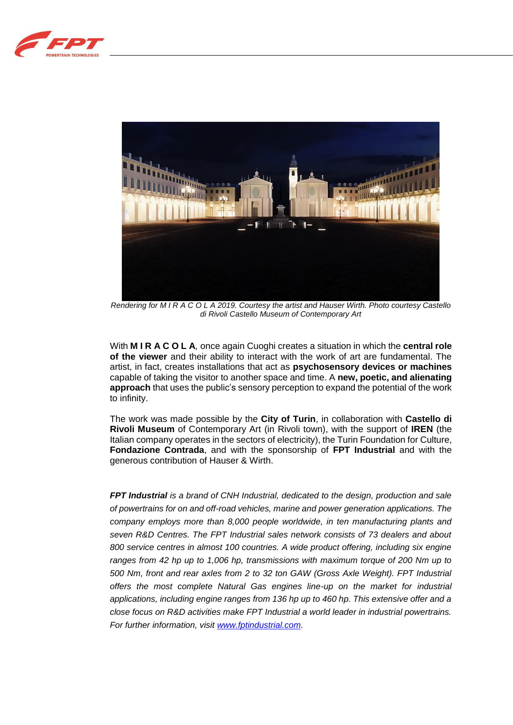



*Rendering for M I R A C O L A 2019. Courtesy the artist and Hauser Wirth. Photo courtesy Castello di Rivoli Castello Museum of Contemporary Art*

With **M I R A C O L A***,* once again Cuoghi creates a situation in which the **central role of the viewer** and their ability to interact with the work of art are fundamental. The artist, in fact, creates installations that act as **psychosensory devices or machines**  capable of taking the visitor to another space and time. A **new, poetic, and alienating approach** that uses the public's sensory perception to expand the potential of the work to infinity.

The work was made possible by the **City of Turin**, in collaboration with **Castello di Rivoli Museum** of Contemporary Art (in Rivoli town), with the support of **IREN** (the Italian company operates in the sectors of electricity), the Turin Foundation for Culture, **Fondazione Contrada**, and with the sponsorship of **FPT Industrial** and with the generous contribution of Hauser & Wirth.

*FPT Industrial is a brand of CNH Industrial, dedicated to the design, production and sale of powertrains for on and off-road vehicles, marine and power generation applications. The company employs more than 8,000 people worldwide, in ten manufacturing plants and seven R&D Centres. The FPT Industrial sales network consists of 73 dealers and about 800 service centres in almost 100 countries. A wide product offering, including six engine ranges from 42 hp up to 1,006 hp, transmissions with maximum torque of 200 Nm up to 500 Nm, front and rear axles from 2 to 32 ton GAW (Gross Axle Weight). FPT Industrial offers the most complete Natural Gas engines line-up on the market for industrial applications, including engine ranges from 136 hp up to 460 hp. This extensive offer and a close focus on R&D activities make FPT Industrial a world leader in industrial powertrains. For further information, visit [www.fptindustrial.com.](http://www.fptindustrial.com/)*